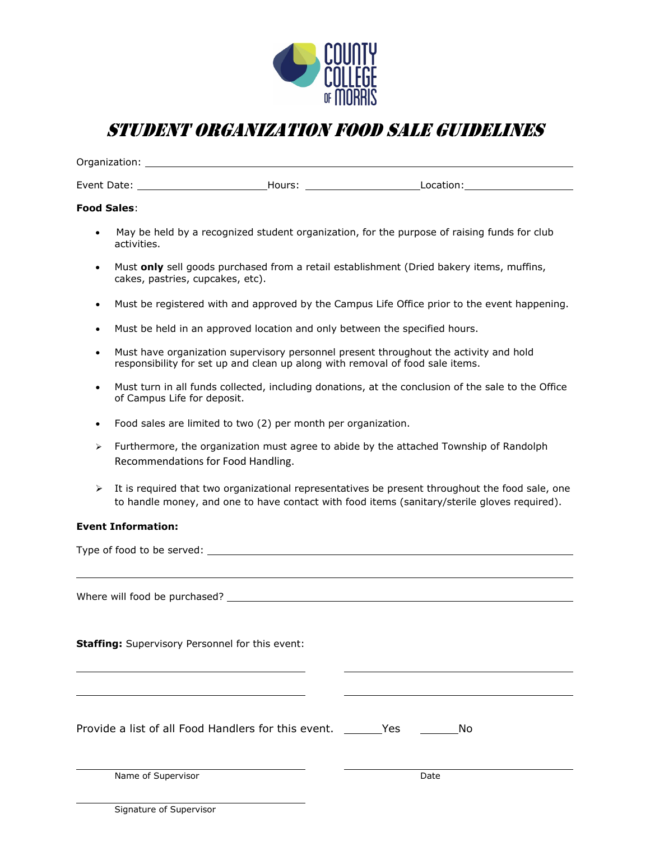

# STUDENT ORGANIZATION FOOD Sale Guidelines

Organization:

Event Date: Hours: Location:

## **Food Sales**:

- May be held by a recognized student organization, for the purpose of raising funds for club activities.
- Must **only** sell goods purchased from a retail establishment (Dried bakery items, muffins, cakes, pastries, cupcakes, etc).
- Must be registered with and approved by the Campus Life Office prior to the event happening.
- Must be held in an approved location and only between the specified hours.
- Must have organization supervisory personnel present throughout the activity and hold responsibility for set up and clean up along with removal of food sale items.
- Must turn in all funds collected, including donations, at the conclusion of the sale to the Office of Campus Life for deposit.
- Food sales are limited to two (2) per month per organization.
- $\triangleright$  Furthermore, the organization must agree to abide by the attached Township of Randolph Recommendations for Food Handling.
- $\triangleright$  It is required that two organizational representatives be present throughout the food sale, one to handle money, and one to have contact with food items (sanitary/sterile gloves required).

## **Event Information:**

| <b>Staffing:</b> Supervisory Personnel for this event: |      |  |
|--------------------------------------------------------|------|--|
|                                                        |      |  |
|                                                        |      |  |
|                                                        |      |  |
|                                                        |      |  |
| Name of Supervisor                                     | Date |  |
|                                                        |      |  |

Signature of Supervisor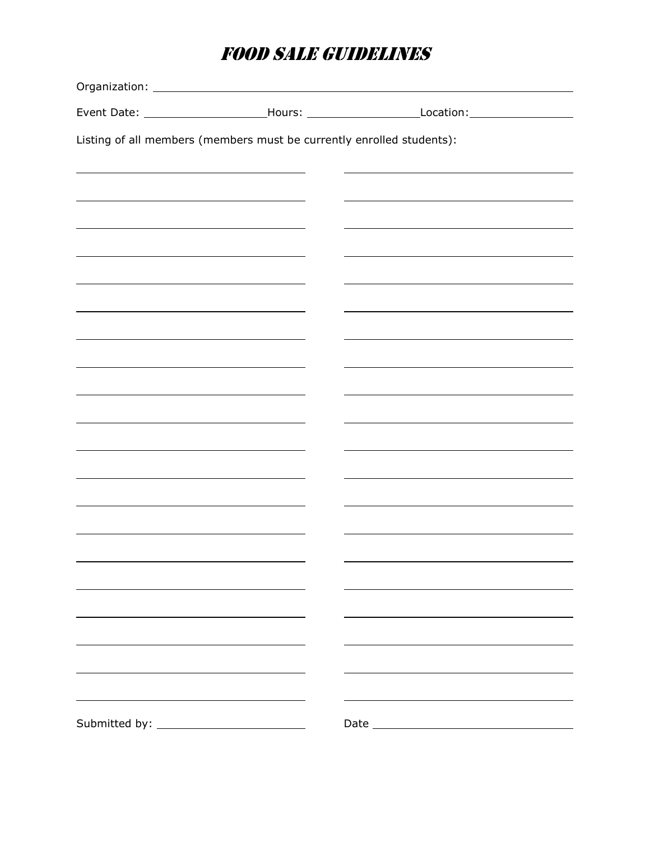# FOOD Sale Guidelines

|  |                                                                       | Event Date: ___________________________Hours: _________________________Location:____________________ |
|--|-----------------------------------------------------------------------|------------------------------------------------------------------------------------------------------|
|  | Listing of all members (members must be currently enrolled students): |                                                                                                      |
|  |                                                                       |                                                                                                      |
|  |                                                                       |                                                                                                      |
|  |                                                                       |                                                                                                      |
|  |                                                                       |                                                                                                      |
|  |                                                                       |                                                                                                      |
|  |                                                                       |                                                                                                      |
|  |                                                                       |                                                                                                      |
|  |                                                                       |                                                                                                      |
|  |                                                                       |                                                                                                      |
|  |                                                                       |                                                                                                      |
|  |                                                                       |                                                                                                      |
|  |                                                                       |                                                                                                      |
|  |                                                                       |                                                                                                      |
|  |                                                                       |                                                                                                      |
|  |                                                                       |                                                                                                      |
|  |                                                                       |                                                                                                      |
|  |                                                                       |                                                                                                      |
|  |                                                                       |                                                                                                      |
|  |                                                                       |                                                                                                      |
|  |                                                                       |                                                                                                      |
|  |                                                                       |                                                                                                      |
|  |                                                                       |                                                                                                      |
|  |                                                                       |                                                                                                      |
|  |                                                                       |                                                                                                      |